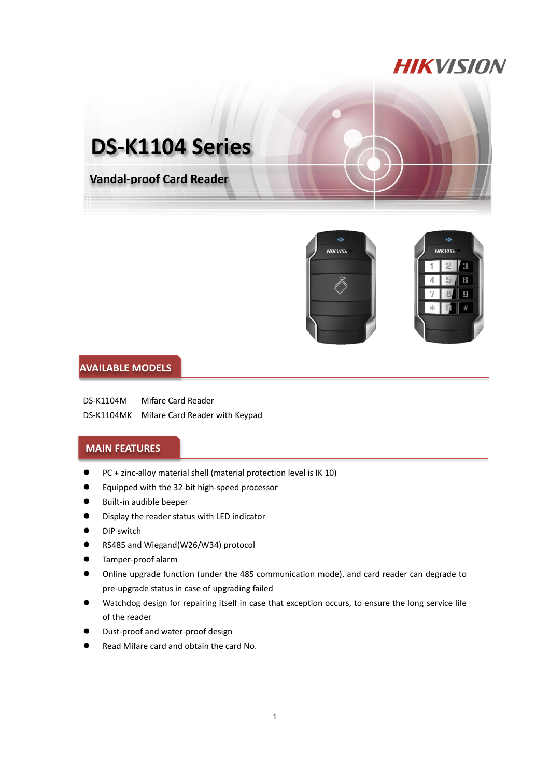## **HIKVISION**





ä **HIKVISK**  $2$   $\sqrt{3}$ 6  $\mathbf{g}$  $\ast$ 

## **AVAILABLE MODELS**

DS-K1104M Mifare Card Reader DS-K1104MK Mifare Card Reader with Keypad

## **MAIN FEATURES**

- PC + zinc-alloy material shell (material protection level is IK 10)
- Equipped with the 32-bit high-speed processor
- **Built-in audible beeper**
- **Display the reader status with LED indicator**
- **O** DIP switch
- RS485 and Wiegand(W26/W34) protocol
- Tamper-proof alarm
- Online upgrade function (under the 485 communication mode), and card reader can degrade to pre-upgrade status in case of upgrading failed
- Watchdog design for repairing itself in case that exception occurs, to ensure the long service life of the reader
- Dust-proof and water-proof design
- Read Mifare card and obtain the card No.